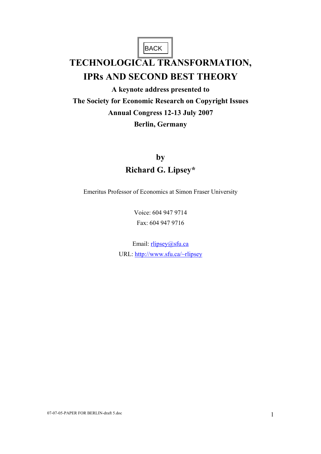BACK |

# **TECHNOLOGICAL TRANSFORMATION, IPRs AND SECOND BEST THEORY**

**A keynote address presented to The Society for Economic Research on Copyright Issues Annual Congress 12-13 July 2007 Berlin, Germany** 

# **by Richard G. Lipsey\***

Emeritus Professor of Economics at Simon Fraser University

Voice: 604 947 9714 Fax: 604 947 9716

Email: rlipsey@sfu.ca URL: http://www.sfu.ca/~rlipsey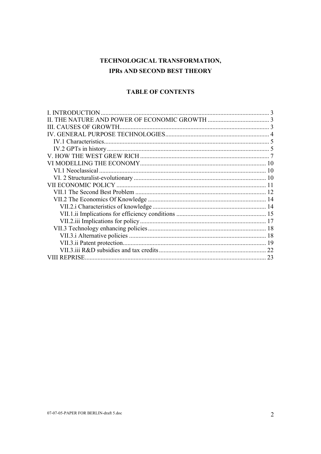# TECHNOLOGICAL TRANSFORMATION, **IPRs AND SECOND BEST THEORY**

# **TABLE OF CONTENTS**

| 18<br>18<br>19<br>22<br>23<br><b>REPRISE</b> | L INTRODUCTION |  |
|----------------------------------------------|----------------|--|
|                                              |                |  |
|                                              |                |  |
|                                              |                |  |
|                                              |                |  |
|                                              |                |  |
|                                              |                |  |
|                                              |                |  |
|                                              |                |  |
|                                              |                |  |
|                                              |                |  |
|                                              |                |  |
|                                              |                |  |
|                                              |                |  |
|                                              |                |  |
|                                              |                |  |
|                                              |                |  |
|                                              |                |  |
|                                              |                |  |
|                                              |                |  |
|                                              |                |  |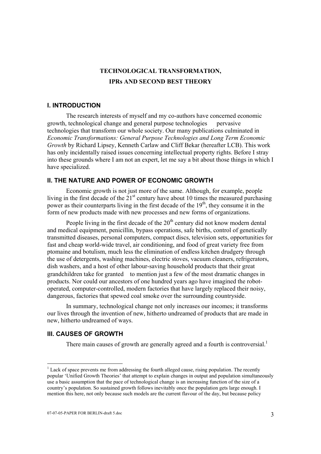# **TECHNOLOGICAL TRANSFORMATION, IPRs AND SECOND BEST THEORY**

# **I. INTRODUCTION**

 The research interests of myself and my co-authors have concerned economic growth, technological change and general purpose technologies pervasive technologies that transform our whole society. Our many publications culminated in *Economic Transformations: General Purpose Technologies and Long Term Economic Growth* by Richard Lipsey, Kenneth Carlaw and Cliff Bekar (hereafter LCB). This work has only incidentally raised issues concerning intellectual property rights. Before I stray into these grounds where I am not an expert, let me say a bit about those things in which I have specialized.

# **II. THE NATURE AND POWER OF ECONOMIC GROWTH**

 Economic growth is not just more of the same. Although, for example, people living in the first decade of the  $21<sup>st</sup>$  century have about 10 times the measured purchasing power as their counterparts living in the first decade of the  $19<sup>th</sup>$ , they consume it in the form of new products made with new processes and new forms of organizations.

People living in the first decade of the  $20<sup>th</sup>$  century did not know modern dental and medical equipment, penicillin, bypass operations, safe births, control of genetically transmitted diseases, personal computers, compact discs, television sets, opportunities for fast and cheap world-wide travel, air conditioning, and food of great variety free from ptomaine and botulism, much less the elimination of endless kitchen drudgery through the use of detergents, washing machines, electric stoves, vacuum cleaners, refrigerators, dish washers, and a host of other labour-saving household products that their great grandchildren take for granted—to mention just a few of the most dramatic changes in products. Nor could our ancestors of one hundred years ago have imagined the robotoperated, computer-controlled, modern factories that have largely replaced their noisy, dangerous, factories that spewed coal smoke over the surrounding countryside.

 In summary, technological change not only increases our incomes; it transforms our lives through the invention of new, hitherto undreamed of products that are made in new, hitherto undreamed of ways.

# **III. CAUSES OF GROWTH**

There main causes of growth are generally agreed and a fourth is controversial.<sup>1</sup>

 $<sup>1</sup>$  Lack of space prevents me from addressing the fourth alleged cause, rising population. The recently</sup> popular 'Unified Growth Theories' that attempt to explain changes in output and population simultaneously use a basic assumption that the pace of technological change is an increasing function of the size of a country's population. So sustained growth follows inevitably once the population gets large enough. I mention this here, not only because such models are the current flavour of the day, but because policy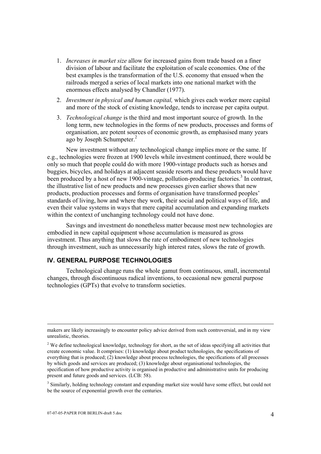- 1. *Increases in market size* allow for increased gains from trade based on a finer division of labour and facilitate the exploitation of scale economies. One of the best examples is the transformation of the U.S. economy that ensued when the railroads merged a series of local markets into one national market with the enormous effects analysed by Chandler (1977).
- 2. *Investment in physical and human capital,* which gives each worker more capital and more of the stock of existing knowledge, tends to increase per capita output.
- 3. *Technological change* is the third and most important source of growth*.* In the long term, new technologies in the forms of new products, processes and forms of organisation, are potent sources of economic growth, as emphasised many years ago by Joseph Schumpeter.<sup>2</sup>

 New investment without any technological change implies more or the same. If e.g., technologies were frozen at 1900 levels while investment continued, there would be only so much that people could do with more 1900-vintage products such as horses and buggies, bicycles, and holidays at adjacent seaside resorts and these products would have been produced by a host of new 1900-vintage, pollution-producing factories.<sup>3</sup> In contrast, the illustrative list of new products and new processes given earlier shows that new products, production processes and forms of organisation have transformed peoples' standards of living, how and where they work, their social and political ways of life, and even their value systems in ways that mere capital accumulation and expanding markets within the context of unchanging technology could not have done.

 Savings and investment do nonetheless matter because most new technologies are embodied in new capital equipment whose accumulation is measured as gross investment. Thus anything that slows the rate of embodiment of new technologies through investment, such as unnecessarily high interest rates, slows the rate of growth.

# **IV. GENERAL PURPOSE TECHNOLOGIES**

 Technological change runs the whole gamut from continuous, small, incremental changes, through discontinuous radical inventions, to occasional new general purpose technologies (GPTs) that evolve to transform societies.

makers are likely increasingly to encounter policy advice derived from such controversial, and in my view unrealistic, theories.

 $2$  We define technological knowledge, technology for short, as the set of ideas specifying all activities that create economic value. It comprises: (1) knowledge about product technologies, the specifications of everything that is produced; (2) knowledge about process technologies, the specifications of all processes by which goods and services are produced; (3) knowledge about organisational technologies, the specification of how productive activity is organised in productive and administrative units for producing present and future goods and services. (LCB: 58).

<sup>&</sup>lt;sup>3</sup> Similarly, holding technology constant and expanding market size would have some effect, but could not be the source of exponential growth over the centuries.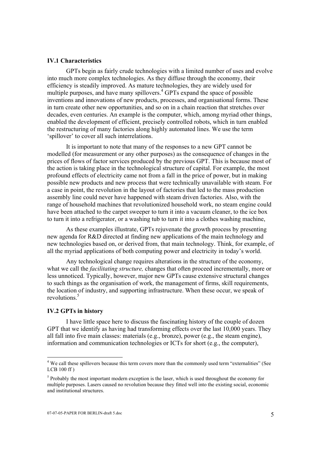#### **IV.1 Characteristics**

 GPTs begin as fairly crude technologies with a limited number of uses and evolve into much more complex technologies. As they diffuse through the economy, their efficiency is steadily improved. As mature technologies, they are widely used for multiple purposes, and have many spillovers.<sup>4</sup> GPTs expand the space of possible inventions and innovations of new products, processes, and organisational forms. These in turn create other new opportunities, and so on in a chain reaction that stretches over decades, even centuries. An example is the computer, which, among myriad other things, enabled the development of efficient, precisely controlled robots, which in turn enabled the restructuring of many factories along highly automated lines. We use the term 'spillover' to cover all such interrelations.

 It is important to note that many of the responses to a new GPT cannot be modelled (for measurement or any other purposes) as the consequence of changes in the prices of flows of factor services produced by the previous GPT. This is because most of the action is taking place in the technological structure of capital. For example, the most profound effects of electricity came not from a fall in the price of power, but in making possible new products and new process that were technically unavailable with steam. For a case in point, the revolution in the layout of factories that led to the mass production assembly line could never have happened with steam driven factories. Also, with the range of household machines that revolutionized household work, no steam engine could have been attached to the carpet sweeper to turn it into a vacuum cleaner, to the ice box to turn it into a refrigerator, or a washing tub to turn it into a clothes washing machine,

 As these examples illustrate, GPTs rejuvenate the growth process by presenting new agenda for R&D directed at finding new applications of the main technology and new technologies based on, or derived from, that main technology. Think, for example, of all the myriad applications of both computing power and electricity in today's world.

 Any technological change requires alterations in the structure of the economy, what we call the *facilitating structure,* changes that often proceed incrementally, more or less unnoticed. Typically, however, major new GPTs cause extensive structural changes to such things as the organisation of work, the management of firms, skill requirements, the location of industry, and supporting infrastructure. When these occur, we speak of revolutions.<sup>5</sup>

#### **IV.2 GPTs in history**

 I have little space here to discuss the fascinating history of the couple of dozen GPT that we identify as having had transforming effects over the last 10,000 years. They all fall into five main classes: materials (e.g., bronze), power (e.g., the steam engine), information and communication technologies or ICTs for short (e.g., the computer),

 4 We call these spillovers because this term covers more than the commonly used term "externalities" (See LCB 100 ff )

 $<sup>5</sup>$  Probably the most important modern exception is the laser, which is used throughout the economy for</sup> multiple purposes. Lasers caused no revolution because they fitted well into the existing social, economic and institutional structures.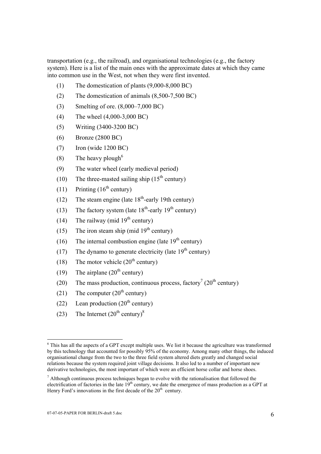transportation (e.g., the railroad), and organisational technologies (e.g., the factory system). Here is a list of the main ones with the approximate dates at which they came into common use in the West, not when they were first invented.

- (1) The domestication of plants (9,000-8,000 BC)
- (2) The domestication of animals (8,500-7,500 BC)
- (3) Smelting of ore. (8,000–7,000 BC)
- (4) The wheel (4,000-3,000 BC)
- (5) Writing (3400-3200 BC)
- (6) Bronze (2800 BC)
- (7) Iron (wide 1200 BC)
- (8) The heavy plough<sup>6</sup>
- (9) The water wheel (early medieval period)
- (10) The three-masted sailing ship  $(15<sup>th</sup>$  century)
- $(11)$  Printing  $(16<sup>th</sup>$  century)
- (12) The steam engine (late  $18<sup>th</sup>$ -early 19th century)
- (13) The factory system (late  $18<sup>th</sup>$ -early  $19<sup>th</sup>$  century)
- (14) The railway (mid  $19<sup>th</sup>$  century)
- (15) The iron steam ship (mid  $19<sup>th</sup>$  century)
- (16) The internal combustion engine (late  $19<sup>th</sup>$  century)
- (17) The dynamo to generate electricity (late  $19<sup>th</sup>$  century)
- (18) The motor vehicle  $(20<sup>th</sup>$  century)
- (19) The airplane  $(20<sup>th</sup>$  century)
- (20) The mass production, continuous process, factory<sup>7</sup> (20<sup>th</sup> century)
- (21) The computer  $(20<sup>th</sup>$  century)
- (22) Lean production  $(20<sup>th</sup> century)$
- (23) The Internet  $(20^{\text{th}} \text{ century})^8$

<sup>&</sup>lt;sup>6</sup> This has all the aspects of a GPT except multiple uses. We list it because the agriculture was transformed by this technology that accounted for possibly 95% of the economy. Among many other things, the induced organisational change from the two to the three field system altered diets greatly and changed social relations because the system required joint village decisions. It also led to a number of important new derivative technologies, the most important of which were an efficient horse collar and horse shoes.

 $<sup>7</sup>$  Although continuous process techniques began to evolve with the rationalisation that followed the</sup> electrification of factories in the late 19<sup>th</sup> century, we date the emergence of mass production as a GPT at Henry Ford's innovations in the first decade of the  $20<sup>th</sup>$  century.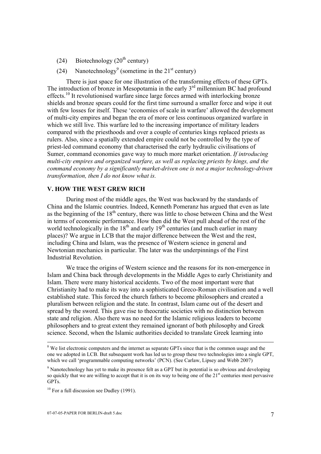- (24) Biotechnology  $(20<sup>th</sup>$  century)
- (24) Nanotechnology<sup>9</sup> (sometime in the  $21<sup>st</sup>$  century)

 There is just space for one illustration of the transforming effects of these GPTs. The introduction of bronze in Mesopotamia in the early  $3<sup>rd</sup>$  millennium BC had profound effects.<sup>10</sup> It revolutionised warfare since large forces armed with interlocking bronze shields and bronze spears could for the first time surround a smaller force and wipe it out with few losses for itself. These 'economies of scale in warfare' allowed the development of multi-city empires and began the era of more or less continuous organized warfare in which we still live. This warfare led to the increasing importance of military leaders compared with the priesthoods and over a couple of centuries kings replaced priests as rulers. Also, since a spatially extended empire could not be controlled by the type of priest-led command economy that characterised the early hydraulic civilisations of Sumer, command economies gave way to much more market orientation. *If introducing multi-city empires and organized warfare, as well as replacing priests by kings, and the command economy by a significantly market-driven one is not a major technology-driven transformation, then I do not know what is.* 

# **V. HOW THE WEST GREW RICH**

 During most of the middle ages, the West was backward by the standards of China and the Islamic countries. Indeed, Kenneth Pomeranz has argued that even as late as the beginning of the  $18<sup>th</sup>$  century, there was little to chose between China and the West in terms of economic performance. How then did the West pull ahead of the rest of the world technologically in the  $18<sup>th</sup>$  and early  $19<sup>th</sup>$  centuries (and much earlier in many places)? We argue in LCB that the major difference between the West and the rest, including China and Islam, was the presence of Western science in general and Newtonian mechanics in particular. The later was the underpinnings of the First Industrial Revolution.

 We trace the origins of Western science and the reasons for its non-emergence in Islam and China back through developments in the Middle Ages to early Christianity and Islam. There were many historical accidents. Two of the most important were that Christianity had to make its way into a sophisticated Greco-Roman civilisation and a well established state. This forced the church fathers to become philosophers and created a pluralism between religion and the state. In contrast, Islam came out of the desert and spread by the sword. This gave rise to theocratic societies with no distinction between state and religion. Also there was no need for the Islamic religious leaders to become philosophers and to great extent they remained ignorant of both philosophy and Greek science. Second, when the Islamic authorities decided to translate Greek learning into

 $\frac{1}{8}$ <sup>8</sup> We list electronic computers and the internet as separate GPTs since that is the common usage and the one we adopted in LCB. But subsequent work has led us to group these two technologies into a single GPT, which we call 'programmable computing networks' (PCN). (See Carlaw, Lipsey and Webb 2007)

<sup>&</sup>lt;sup>9</sup> Nanotechnology has yet to make its presence felt as a GPT but its potential is so obvious and developing so quickly that we are willing to accept that it is on its way to being one of the  $21<sup>st</sup>$  centuries most pervasive GPTs.

 $10$  For a full discussion see Dudley (1991).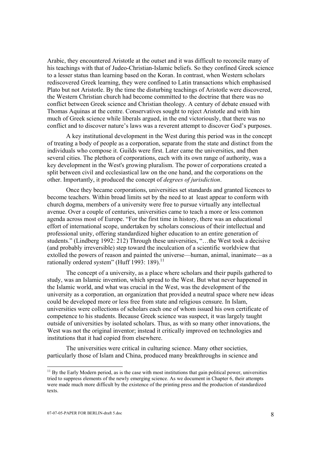Arabic, they encountered Aristotle at the outset and it was difficult to reconcile many of his teachings with that of Judeo-Christian-Islamic beliefs. So they confined Greek science to a lesser status than learning based on the Koran. In contrast, when Western scholars rediscovered Greek learning, they were confined to Latin transactions which emphasised Plato but not Aristotle. By the time the disturbing teachings of Aristotle were discovered, the Western Christian church had become committed to the doctrine that there was no conflict between Greek science and Christian theology. A century of debate ensued with Thomas Aquinas at the centre. Conservatives sought to reject Aristotle and with him much of Greek science while liberals argued, in the end victoriously, that there was no conflict and to discover nature's laws was a reverent attempt to discover God's purposes.

 A key institutional development in the West during this period was in the concept of treating a body of people as a corporation, separate from the state and distinct from the individuals who compose it. Guilds were first. Later came the universities, and then several cities. The plethora of corporations, each with its own range of authority, was a key development in the West's growing pluralism. The power of corporations created a split between civil and ecclesiastical law on the one hand, and the corporations on the other. Importantly, it produced the concept of *degrees of jurisdiction*.

 Once they became corporations, universities set standards and granted licences to become teachers. Within broad limits set by the need to at least appear to conform with church dogma, members of a university were free to pursue virtually any intellectual avenue. Over a couple of centuries, universities came to teach a more or less common agenda across most of Europe. "For the first time in history, there was an educational effort of international scope, undertaken by scholars conscious of their intellectual and professional unity, offering standardized higher education to an entire generation of students." (Lindberg 1992: 212) Through these universities, "…the West took a decisive (and probably irreversible) step toward the inculcation of a scientific worldview that extolled the powers of reason and painted the universe—human, animal, inanimate—as a rationally ordered system" (Huff 1993: 189).<sup>11</sup>

 The concept of a university, as a place where scholars and their pupils gathered to study, was an Islamic invention, which spread to the West. But what never happened in the Islamic world, and what was crucial in the West, was the development of the university as a corporation, an organization that provided a neutral space where new ideas could be developed more or less free from state and religious censure. In Islam, universities were collections of scholars each one of whom issued his own certificate of competence to his students. Because Greek science was suspect, it was largely taught outside of universities by isolated scholars. Thus, as with so many other innovations, the West was not the original inventor; instead it critically improved on technologies and institutions that it had copied from elsewhere.

 The universities were critical in culturing science. Many other societies, particularly those of Islam and China, produced many breakthroughs in science and

l

 $11$  By the Early Modern period, as is the case with most institutions that gain political power, universities tried to suppress elements of the newly emerging science. As we document in Chapter 6, their attempts were made much more difficult by the existence of the printing press and the production of standardized texts.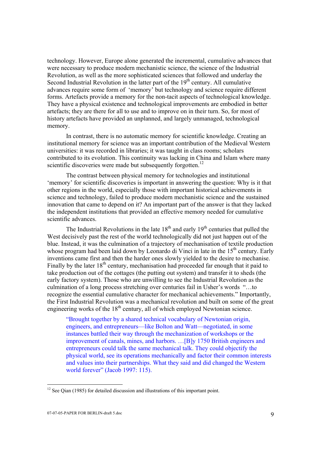technology. However, Europe alone generated the incremental, cumulative advances that were necessary to produce modern mechanistic science, the science of the Industrial Revolution, as well as the more sophisticated sciences that followed and underlay the Second Industrial Revolution in the latter part of the  $19<sup>th</sup>$  century. All cumulative advances require some form of 'memory' but technology and science require different forms. Artefacts provide a memory for the non-tacit aspects of technological knowledge. They have a physical existence and technological improvements are embodied in better artefacts; they are there for all to use and to improve on in their turn. So, for most of history artefacts have provided an unplanned, and largely unmanaged, technological memory.

 In contrast, there is no automatic memory for scientific knowledge. Creating an institutional memory for science was an important contribution of the Medieval Western universities: it was recorded in libraries; it was taught in class rooms; scholars contributed to its evolution. This continuity was lacking in China and Islam where many scientific discoveries were made but subsequently forgotten.<sup>12</sup>

 The contrast between physical memory for technologies and institutional 'memory' for scientific discoveries is important in answering the question: Why is it that other regions in the world, especially those with important historical achievements in science and technology, failed to produce modern mechanistic science and the sustained innovation that came to depend on it? An important part of the answer is that they lacked the independent institutions that provided an effective memory needed for cumulative scientific advances.

The Industrial Revolutions in the late  $18<sup>th</sup>$  and early  $19<sup>th</sup>$  centuries that pulled the West decisively past the rest of the world technologically did not just happen out of the blue. Instead, it was the culmination of a trajectory of mechanisation of textile production whose program had been laid down by Leonardo di Vinci in late in the  $15<sup>th</sup>$  century. Early inventions came first and then the harder ones slowly yielded to the desire to mechanise. Finally by the later  $18<sup>th</sup>$  century, mechanisation had proceeded far enough that it paid to take production out of the cottages (the putting out system) and transfer it to sheds (the early factory system). Those who are unwilling to see the Industrial Revolution as the culmination of a long process stretching over centuries fail in Usher's words "…to recognize the essential cumulative character for mechanical achievements." Importantly, the First Industrial Revolution was a mechanical revolution and built on some of the great engineering works of the  $18<sup>th</sup>$  century, all of which employed Newtonian science.

"Brought together by a shared technical vocabulary of Newtonian origin, engineers, and entrepreneurs—like Bolton and Watt—negotiated, in some instances battled their way through the mechanization of workshops or the improvement of canals, mines, and harbors. …[B]y 1750 British engineers and entrepreneurs could talk the same mechanical talk. They could objectify the physical world, see its operations mechanically and factor their common interests and values into their partnerships. What they said and did changed the Western world forever" (Jacob 1997: 115).

 $12$  See Qian (1985) for detailed discussion and illustrations of this important point.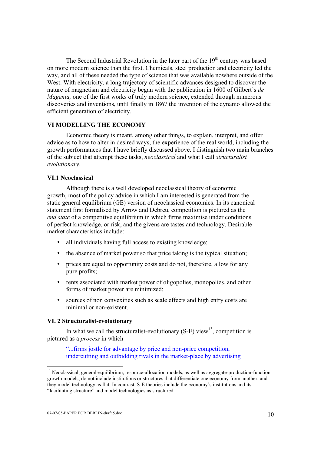The Second Industrial Revolution in the later part of the  $19<sup>th</sup>$  century was based on more modern science than the first. Chemicals, steel production and electricity led the way, and all of these needed the type of science that was available nowhere outside of the West. With electricity, a long trajectory of scientific advances designed to discover the nature of magnetism and electricity began with the publication in 1600 of Gilbert's *de Magenta,* one of the first works of truly modern science, extended through numerous discoveries and inventions, until finally in 1867 the invention of the dynamo allowed the efficient generation of electricity.

#### **VI MODELLING THE ECONOMY**

 Economic theory is meant, among other things, to explain, interpret, and offer advice as to how to alter in desired ways, the experience of the real world, including the growth performances that I have briefly discussed above. I distinguish two main branches of the subject that attempt these tasks, *neoclassical* and what I call *structuralist evolutionary*.

### **VI.1 Neoclassical**

 Although there is a well developed neoclassical theory of economic growth, most of the policy advice in which I am interested is generated from the static general equilibrium (GE) version of neoclassical economics. In its canonical statement first formalised by Arrow and Debreu, competition is pictured as the *end state* of a competitive equilibrium in which firms maximise under conditions of perfect knowledge, or risk, and the givens are tastes and technology. Desirable market characteristics include:

- all individuals having full access to existing knowledge;
- the absence of market power so that price taking is the typical situation;
- prices are equal to opportunity costs and do not, therefore, allow for any pure profits;
- rents associated with market power of oligopolies, monopolies, and other forms of market power are minimized;
- sources of non convexities such as scale effects and high entry costs are minimal or non-existent.

# **VI. 2 Structuralist-evolutionary**

In what we call the structuralist-evolutionary  $(S-E)$  view<sup>13</sup>, competition is pictured as a *process* in which

"...firms jostle for advantage by price and non-price competition, undercutting and outbidding rivals in the market-place by advertising

l

<sup>&</sup>lt;sup>13</sup> Neoclassical, general-equilibrium, resource-allocation models, as well as aggregate-production-function growth models, do not include institutions or structures that differentiate one economy from another, and they model technology as flat. In contrast, S-E theories include the economy's institutions and its "facilitating structure" and model technologies as structured.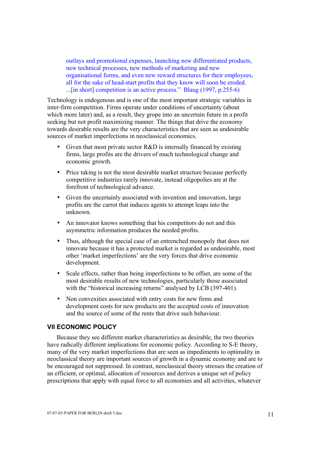outlays and promotional expenses, launching new differentiated products, new technical processes, new methods of marketing and new organisational forms, and even new reward structures for their employees, all for the sake of head-start profits that they know will soon be eroded. ...[in short] competition is an active process." Blaug (1997, p.255-6)

Technology is endogenous and is one of the most important strategic variables in inter-firm competition. Firms operate under conditions of uncertainty (about which more later) and, as a result, they grope into an uncertain future in a profit seeking but not profit maximizing manner. The things that drive the economy towards desirable results are the very characteristics that are seen as undesirable sources of market imperfections in neoclassical economics.

- Given that most private sector R&D is internally financed by existing firms, large profits are the drivers of much technological change and economic growth.
- Price taking is not the most desirable market structure because perfectly competitive industries rarely innovate, instead oligopolies are at the forefront of technological advance.
- Given the uncertainly associated with invention and innovation, large profits are the carrot that induces agents to attempt leaps into the unknown.
- An innovator knows something that his competitors do not and this asymmetric information produces the needed profits.
- Thus, although the special case of an entrenched monopoly that does not innovate because it has a protected market is regarded as undesirable, most other 'market imperfections' are the very forces that drive economic development.
- Scale effects, rather than being imperfections to be offset, are some of the most desirable results of new technologies, particularly those associated with the "historical increasing returns" analysed by LCB (397-401).
- Non convexities associated with entry costs for new firms and development costs for new products are the accepted costs of innovation and the source of some of the rents that drive such behaviour.

# **VII ECONOMIC POLICY**

 Because they see different market characteristics as desirable, the two theories have radically different implications for economic policy. According to S-E theory, many of the very market imperfections that are seen as impediments to optimality in neoclassical theory are important sources of growth in a dynamic economy and are to be encouraged not suppressed. In contrast, neoclassical theory stresses the creation of an efficient, or optimal, allocation of resources and derives a unique set of policy prescriptions that apply with equal force to all economies and all activities, whatever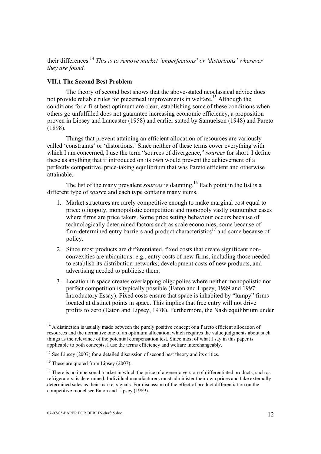their differences.14 *This is to remove market 'imperfections' or 'distortions' wherever they are found.*

## **VII.1 The Second Best Problem**

 The theory of second best shows that the above-stated neoclassical advice does not provide reliable rules for piecemeal improvements in welfare.<sup>15</sup> Although the conditions for a first best optimum are clear, establishing some of these conditions when others go unfulfilled does not guarantee increasing economic efficiency, a proposition proven in Lipsey and Lancaster (1958) and earlier stated by Samuelson (1948) and Pareto (1898).

 Things that prevent attaining an efficient allocation of resources are variously called 'constraints' or 'distortions.' Since neither of these terms cover everything with which I am concerned, I use the term "sources of divergence," *sources* for short. I define these as anything that if introduced on its own would prevent the achievement of a perfectly competitive, price-taking equilibrium that was Pareto efficient and otherwise attainable.

The list of the many prevalent *sources* is daunting.<sup>16</sup> Each point in the list is a different type of *sourc*e and each type contains many items.

- 1. Market structures are rarely competitive enough to make marginal cost equal to price: oligopoly, monopolistic competition and monopoly vastly outnumber cases where firms are price takers. Some price setting behaviour occurs because of technologically determined factors such as scale economies, some because of firm-determined entry barriers and product characteristics<sup>17</sup> and some because of policy.
- 2. Since most products are differentiated, fixed costs that create significant nonconvexities are ubiquitous: e.g., entry costs of new firms, including those needed to establish its distribution networks; development costs of new products, and advertising needed to publicise them.
- 3. Location in space creates overlapping oligopolies where neither monopolistic nor perfect competition is typically possible (Eaton and Lipsey, 1989 and 1997: Introductory Essay). Fixed costs ensure that space is inhabited by "lumpy" firms located at distinct points in space. This implies that free entry will not drive profits to zero (Eaton and Lipsey, 1978). Furthermore, the Nash equilibrium under

<sup>&</sup>lt;sup>14</sup> A distinction is usually made between the purely positive concept of a Pareto efficient allocation of resources and the normative one of an optimum allocation, which requires the value judgments about such things as the relevance of the potential compensation test. Since most of what I say in this paper is applicable to both concepts, I use the terms efficiency and welfare interchangeably.

<sup>&</sup>lt;sup>15</sup> See Lipsey (2007) for a detailed discussion of second best theory and its critics.

 $16$  These are quoted from Lipsey (2007).

 $17$  There is no impersonal market in which the price of a generic version of differentiated products, such as refrigerators, is determined. Individual manufacturers must administer their own prices and take externally determined sales as their market signals. For discussion of the effect of product differentiation on the competitive model see Eaton and Lipsey (1989).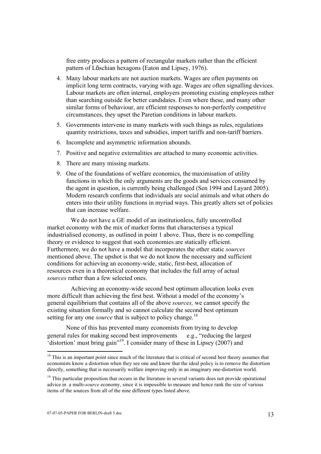free entry produces a pattern of rectangular markets rather than the efficient pattern of Löschian hexagons (Eaton and Lipsey, 1976).

- 4. Many labour markets are not auction markets. Wages are often payments on implicit long term contracts, varying with age. Wages are often signalling devices. Labour markets are often internal, employers promoting existing employees rather than searching outside for better candidates. Even where these, and many other similar forms of behaviour, are efficient responses to non-perfectly competitive circumstances, they upset the Paretian conditions in labour markets.
- 5. Governments intervene in many markets with such things as rules, regulations quantity restrictions, taxes and subsidies, import tariffs and non-tariff barriers.
- 6. Incomplete and asymmetric information abounds.
- 7. Positive and negative externalities are attached to many economic activities.
- 8. There are many missing markets.
- 9. One of the foundations of welfare economics, the maximisation of utility functions in which the only arguments are the goods and services consumed by the agent in question, is currently being challenged (Sen 1994 and Layard 2005). Modern research confirms that individuals are social animals and what others do enters into their utility functions in myriad ways. This greatly alters set of policies that can increase welfare.

 We do not have a GE model of an institutionless, fully uncontrolled market economy with the mix of market forms that characterises a typical industrialised economy, as outlined in point 1 above. Thus, there is no compelling theory or evidence to suggest that such economies are statically efficient. Furthermore, we do not have a model that incorporates the other static *sources* mentioned above. The upshot is that we do not know the necessary and sufficient conditions for achieving an economy-wide, static, first-best, allocation of resources even in a theoretical economy that includes the full array of actual *sources* rather than a few selected ones.

 Achieving an economy-wide second best optimum allocation looks even more difficult than achieving the first best. Without a model of the economy's general equilibrium that contains all of the above *sources,* we cannot specify the existing situation formally and so cannot calculate the second best optimum setting for any one *source* that is subject to policy change.<sup>18</sup>

None of this has prevented many economists from trying to develop general rules for making second best improvements  $-e.g.,$  "reducing the largest 'distortion' must bring gain"19. I consider many of these in Lipsey (2007) and

 $18$  This is an important point since much of the literature that is critical of second best theory assumes that economists know a distortion when they see one and know that the ideal policy is to remove the distortion directly, something that is necessarily welfare improving only in an imaginary one-distortion world.

<sup>&</sup>lt;sup>19</sup> This particular proposition that occurs in the literature in several variants does not provide operational advice in a multi-*source* economy, since it is impossible to measure and hence rank the size of various items of the sources from all of the nine different types listed above.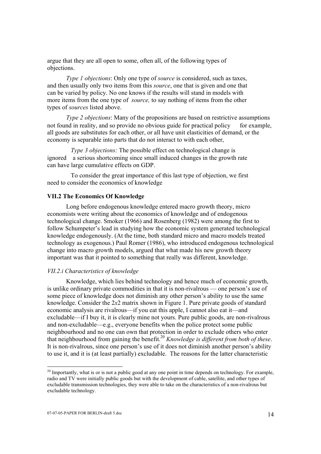argue that they are all open to some, often all, of the following types of objections.

*Type 1 objections*: Only one type of *source* is considered, such as taxes, and then usually only two items from this *source*, one that is given and one that can be varied by policy. No one knows if the results will stand in models with more items from the one type of *source,* to say nothing of items from the other types of *sources* listed above.

 *Type 2 objections*: Many of the propositions are based on restrictive assumptions not found in reality, and so provide no obvious guide for practical policy  $-$  for example, all goods are substitutes for each other, or all have unit elasticities of demand, or the economy is separable into parts that do not interact to with each other,

*Type 3 objections:* The possible effect on technological change is ignored—a serious shortcoming since small induced changes in the growth rate can have large cumulative effects on GDP.

 To consider the great importance of this last type of objection, we first need to consider the economics of knowledge

## **VII.2 The Economics Of Knowledge**

 Long before endogenous knowledge entered macro growth theory, micro economists were writing about the economics of knowledge and of endogenous technological change. Smoker (1966) and Rosenberg (1982) were among the first to follow Schumpeter's lead in studying how the economic system generated technological knowledge endogenously. (At the time, both standard micro and macro models treated technology as exogenous.) Paul Romer (1986), who introduced endogenous technological change into macro growth models, argued that what made his new growth theory important was that it pointed to something that really was different, knowledge.

## *VII.2.i Characteristics of knowledge*

 Knowledge, which lies behind technology and hence much of economic growth, is unlike ordinary private commodities in that it is non-rivalrous — one person's use of some piece of knowledge does not diminish any other person's ability to use the same knowledge. Consider the 2*x*2 matrix shown in Figure 1. Pure private goods of standard economic analysis are rivalrous—if you eat this apple, I cannot also eat it—and excludable—if I buy it, it is clearly mine not yours. Pure public goods, are non-rivalrous and non-excludable—e.g., everyone benefits when the police protect some public neighbourhood and no one can own that protection in order to exclude others who enter that neighbourhood from gaining the benefit.20 *Knowledge is different from both of these*. It is non-rivalrous, since one person's use of it does not diminish another person's ability to use it, and it is (at least partially) excludable. The reasons for the latter characteristic

l

 $20$  Importantly, what is or is not a public good at any one point in time depends on technology. For example, radio and TV were initially public goods but with the development of cable, satellite, and other types of excludable transmission technologies, they were able to take on the characteristics of a non-rivalrous but excludable technology.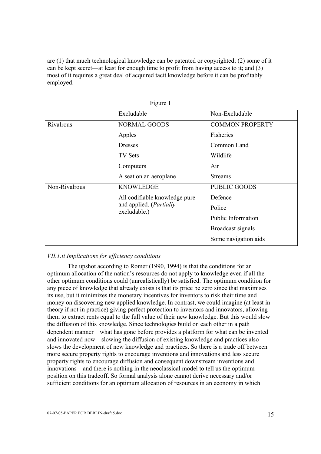are (1) that much technological knowledge can be patented or copyrighted; (2) some of it can be kept secret—at least for enough time to profit from having access to it; and (3) most of it requires a great deal of acquired tacit knowledge before it can be profitably employed.

|               | Excludable                                                                       | Non-Excludable         |
|---------------|----------------------------------------------------------------------------------|------------------------|
| Rivalrous     | NORMAL GOODS                                                                     | <b>COMMON PROPERTY</b> |
|               | Apples                                                                           | Fisheries              |
|               | <b>Dresses</b>                                                                   | Common Land            |
|               | TV Sets                                                                          | Wildlife               |
|               | Computers                                                                        | Air                    |
|               | A seat on an aeroplane                                                           | <b>Streams</b>         |
| Non-Rivalrous | <b>KNOWLEDGE</b>                                                                 | <b>PUBLIC GOODS</b>    |
|               | All codifiable knowledge pure<br>and applied. ( <i>Partially</i><br>excludable.) | Defence                |
|               |                                                                                  | Police                 |
|               |                                                                                  | Public Information     |
|               |                                                                                  | Broadcast signals      |
|               |                                                                                  | Some navigation aids   |

Figure 1

# *VII.1.ii Implications for efficiency conditions*

 The upshot according to Romer (1990, 1994) is that the conditions for an optimum allocation of the nation's resources do not apply to knowledge even if all the other optimum conditions could (unrealistically) be satisfied. The optimum condition for any piece of knowledge that already exists is that its price be zero since that maximises its use, but it minimizes the monetary incentives for inventors to risk their time and money on discovering new applied knowledge. In contrast, we could imagine (at least in theory if not in practice) giving perfect protection to inventors and innovators, allowing them to extract rents equal to the full value of their new knowledge. But this would slow the diffusion of this knowledge. Since technologies build on each other in a path dependent manner—what has gone before provides a platform for what can be invented and innovated now—slowing the diffusion of existing knowledge and practices also slows the development of new knowledge and practices. So there is a trade off between more secure property rights to encourage inventions and innovations and less secure property rights to encourage diffusion and consequent downstream inventions and innovations—and there is nothing in the neoclassical model to tell us the optimum position on this tradeoff. So formal analysis alone cannot derive necessary and/or sufficient conditions for an optimum allocation of resources in an economy in which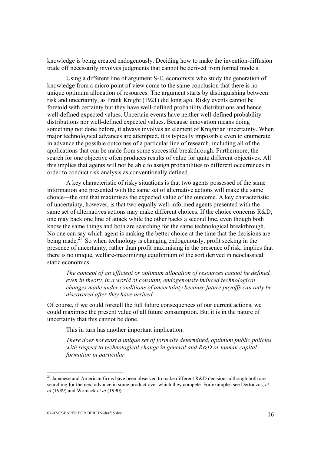knowledge is being created endogenously. Deciding how to make the invention-diffusion trade off necessarily involves judgments that cannot be derived from formal models.

 Using a different line of argument S-E, economists who study the generation of knowledge from a micro point of view come to the same conclusion that there is no unique optimum allocation of resources. The argument starts by distinguishing between risk and uncertainty, as Frank Knight (1921) did long ago. Risky events cannot be foretold with certainty but they have well-defined probability distributions and hence well-defined expected values. Uncertain events have neither well-defined probability distributions nor well-defined expected values. Because innovation means doing something not done before, it always involves an element of Knightian uncertainty. When major technological advances are attempted, it is typically impossible even to enumerate in advance the possible outcomes of a particular line of research, including all of the applications that can be made from some successful breakthrough. Furthermore, the search for one objective often produces results of value for quite different objectives. All this implies that agents will not be able to assign probabilities to different occurrences in order to conduct risk analysis as conventionally defined.

 A key characteristic of risky situations is that two agents possessed of the same information and presented with the same set of alternative actions will make the same choice—the one that maximises the expected value of the outcome. A key characteristic of uncertainty, however, is that two equally well-informed agents presented with the same set of alternatives actions may make different choices. If the choice concerns R&D, one may back one line of attack while the other backs a second line, even though both know the same things and both are searching for the same technological breakthrough. No one can say which agent is making the better choice at the time that the decisions are being made.<sup>21</sup> So when technology is changing endogenously, profit seeking in the presence of uncertainty, rather than profit maximising in the presence of risk, implies that there is no unique, welfare-maximizing equilibrium of the sort derived in neoclassical static economics.

*The concept of an efficient or optimum allocation of resources cannot be defined, even in theory, in a world of constant, endogenously induced technological changes made under conditions of uncertainty because future payoffs can only be discovered after they have arrived.* 

Of course, if we could foretell the full future consequences of our current actions, we could maximise the present value of all future consumption. But it is in the nature of uncertainty that this cannot be done.

This in turn has another important implication:

*There does not exist a unique set of formally determined, optimum public policies with respect to technological change in general and R&D or human capital formation in particular.* 

<sup>&</sup>lt;sup>21</sup> Japanese and American firms have been observed to make different R&D decisions although both are searching for the next advance in some product over which they compete. For examples see Dertouzos, *et al* (1989) and Womack *et al* (1990)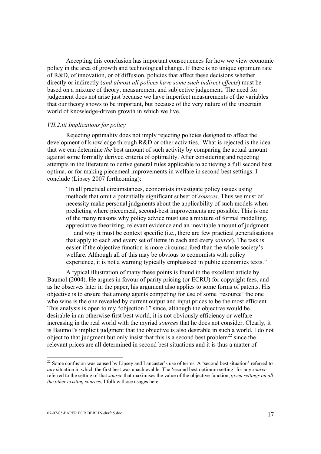Accepting this conclusion has important consequences for how we view economic policy in the area of growth and technological change. If there is no unique optimum rate of R&D, of innovation, or of diffusion, policies that affect these decisions whether directly or indirectly (*and almost all polices have some such indirect effects*) must be based on a mixture of theory, measurement and subjective judgement. The need for judgement does not arise just because we have imperfect measurements of the variables that our theory shows to be important, but because of the very nature of the uncertain world of knowledge-driven growth in which we live.

### *VII.2.iii Implications for policy*

 Rejecting optimality does not imply rejecting policies designed to affect the development of knowledge through R&D or other activities. What is rejected is the idea that we can determine *the* best amount of such activity by comparing the actual amount against some formally derived criteria of optimality. After considering and rejecting attempts in the literature to derive general rules applicable to achieving a full second best optima, or for making piecemeal improvements in welfare in second best settings. I conclude (Lipsey 2007 forthcoming):

"In all practical circumstances, economists investigate policy issues using methods that omit a potentially significant subset of *sources*. Thus we must of necessity make personal judgments about the applicability of such models when predicting where piecemeal, second-best improvements are possible. This is one of the many reasons why policy advice must use a mixture of formal modelling, appreciative theorizing, relevant evidence and an inevitable amount of judgment and why it must be context specific (i.e., there are few practical generalisations that apply to each and every set of items in each and every *source*). The task is easier if the objective function is more circumscribed than the whole society's welfare. Although all of this may be obvious to economists with policy experience, it is not a warning typically emphasised in public economics texts."

 A typical illustration of many these points is found in the excellent article by Baumol (2004). He argues in favour of parity pricing (or ECRU) for copyright fees, and as he observes later in the paper, his argument also applies to some forms of patents. His objective is to ensure that among agents competing for use of some 'resource' the one who wins is the one revealed by current output and input prices to be the most efficient. This analysis is open to my "objection 1" since, although the objective would be desirable in an otherwise first best world, it is not obviously efficiency or welfare increasing in the real world with the myriad *sources* that he does not consider. Clearly, it is Baumol's implicit judgment that the objective is also desirable in such a world. I do not object to that judgment but only insist that this is a second best problem<sup>22</sup> since the relevant prices are all determined in second best situations and it is thus a matter of

 $22$  Some confusion was caused by Lipsey and Lancaster's use of terms. A 'second best situation' referred to *any* situation in which the first best was unachievable. The 'second best optimum setting' for any *source* referred to the setting of that *source* that maximises the value of the objective function, *given settings on all the other existing sources*. I follow those usages here.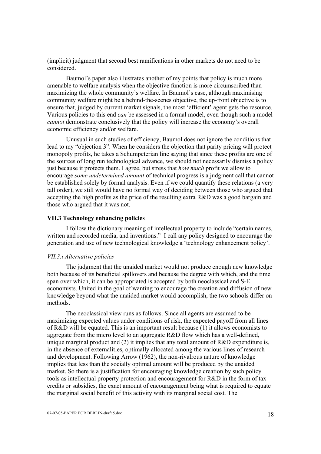(implicit) judgment that second best ramifications in other markets do not need to be considered.

 Baumol's paper also illustrates another of my points that policy is much more amenable to welfare analysis when the objective function is more circumscribed than maximizing the whole community's welfare. In Baumol's case, although maximising community welfare might be a behind-the-scenes objective, the up-front objective is to ensure that, judged by current market signals, the most 'efficient' agent gets the resource. Various policies to this end *can* be assessed in a formal model, even though such a model *cannot* demonstrate conclusively that the policy will increase the economy's overall economic efficiency and/or welfare.

 Unusual in such studies of efficiency, Baumol does not ignore the conditions that lead to my "objection 3". When he considers the objection that parity pricing will protect monopoly profits, he takes a Schumpeterian line saying that since these profits are one of the sources of long run technological advance, we should not necessarily dismiss a policy just because it protects them. I agree, but stress that *how much* profit we allow to encourage *some undetermined amount* of technical progress is a judgment call that cannot be established solely by formal analysis. Even if we could quantify these relations (a very tall order), we still would have no formal way of deciding between those who argued that accepting the high profits as the price of the resulting extra R&D was a good bargain and those who argued that it was not.

# **VII.3 Technology enhancing policies**

 I follow the dictionary meaning of intellectual property to include "certain names, written and recorded media, and inventions." I call any policy designed to encourage the generation and use of new technological knowledge a 'technology enhancement policy'.

# *VII.3.i Alternative policies*

 The judgment that the unaided market would not produce enough new knowledge both because of its beneficial spillovers and because the degree with which, and the time span over which, it can be appropriated is accepted by both neoclassical and S-E economists. United in the goal of wanting to encourage the creation and diffusion of new knowledge beyond what the unaided market would accomplish, the two schools differ on methods.

 The neoclassical view runs as follows. Since all agents are assumed to be maximizing expected values under conditions of risk, the expected payoff from all lines of R&D will be equated. This is an important result because (1) it allows economists to aggregate from the micro level to an aggregate R&D flow which has a well-defined, unique marginal product and (2) it implies that any total amount of R&D expenditure is, in the absence of externalities, optimally allocated among the various lines of research and development. Following Arrow (1962), the non-rivalrous nature of knowledge implies that less than the socially optimal amount will be produced by the unaided market. So there is a justification for encouraging knowledge creation by such policy tools as intellectual property protection and encouragement for R&D in the form of tax credits or subsidies, the exact amount of encouragement being what is required to equate the marginal social benefit of this activity with its marginal social cost. The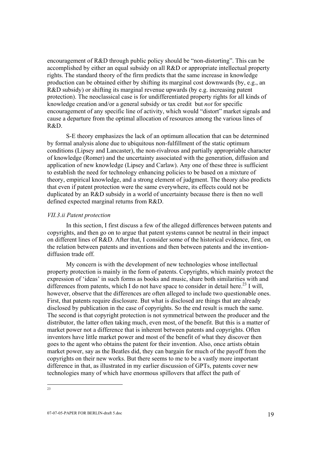encouragement of R&D through public policy should be "non-distorting". This can be accomplished by either an equal subsidy on all R&D or appropriate intellectual property rights. The standard theory of the firm predicts that the same increase in knowledge production can be obtained either by shifting its marginal cost downwards (by, e.g., an R&D subsidy) or shifting its marginal revenue upwards (by e.g. increasing patent protection). The neoclassical case is for undifferentiated property rights for all kinds of knowledge creation and/or a general subsidy or tax credit but *not* for specific encouragement of any specific line of activity, which would "distort" market signals and cause a departure from the optimal allocation of resources among the various lines of R&D.

 S-E theory emphasizes the lack of an optimum allocation that can be determined by formal analysis alone due to ubiquitous non-fulfillment of the static optimum conditions (Lipsey and Lancaster), the non-rivalrous and partially appropriable character of knowledge (Romer) and the uncertainty associated with the generation, diffusion and application of new knowledge (Lipsey and Carlaw). Any one of these three is sufficient to establish the need for technology enhancing policies to be based on a mixture of theory, empirical knowledge, and a strong element of judgment. The theory also predicts that even if patent protection were the same everywhere, its effects could not be duplicated by an R&D subsidy in a world of uncertainty because there is then no well defined expected marginal returns from R&D.

#### *VII.3.ii Patent protection*

In this section, I first discuss a few of the alleged differences between patents and copyrights, and then go on to argue that patent systems cannot be neutral in their impact on different lines of R&D. After that, I consider some of the historical evidence, first, on the relation between patents and inventions and then between patents and the inventiondiffusion trade off.

My concern is with the development of new technologies whose intellectual property protection is mainly in the form of patents. Copyrights, which mainly protect the expression of 'ideas' in such forms as books and music, share both similarities with and differences from patents, which I do not have space to consider in detail here.<sup>23</sup> I will. however, observe that the differences are often alleged to include two questionable ones. First, that patents require disclosure. But what is disclosed are things that are already disclosed by publication in the case of copyrights. So the end result is much the same. The second is that copyright protection is not symmetrical between the producer and the distributor, the latter often taking much, even most, of the benefit. But this is a matter of market power not a difference that is inherent between patents and copyrights. Often inventors have little market power and most of the benefit of what they discover then goes to the agent who obtains the patent for their invention. Also, once artists obtain market power, say as the Beatles did, they can bargain for much of the payoff from the copyrights on their new works. But there seems to me to be a vastly more important difference in that, as illustrated in my earlier discussion of GPTs, patents cover new technologies many of which have enormous spillovers that affect the path of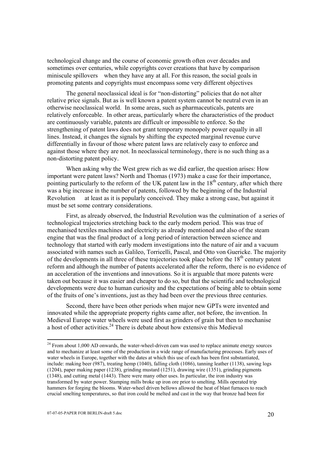technological change and the course of economic growth often over decades and sometimes over centuries, while copyrights cover creations that have by comparison miniscule spillovers—when they have any at all. For this reason, the social goals in promoting patents and copyrights must encompass some very different objectives

The general neoclassical ideal is for "non-distorting" policies that do not alter relative price signals. But as is well known a patent system cannot be neutral even in an otherwise neoclassical world. In some areas, such as pharmaceuticals, patents are relatively enforceable. In other areas, particularly where the characteristics of the product are continuously variable, patents are difficult or impossible to enforce. So the strengthening of patent laws does not grant temporary monopoly power equally in all lines. Instead, it changes the signals by shifting the expected marginal revenue curve differentially in favour of those where patent laws are relatively easy to enforce and against those where they are not. In neoclassical terminology, there is no such thing as a non-distorting patent policy.

 When asking why the West grew rich as we did earlier, the question arises: How important were patent laws? North and Thomas (1973) make a case for their importance, pointing particularly to the reform of the UK patent law in the  $18<sup>th</sup>$  century, after which there was a big increase in the number of patents, followed by the beginning of the Industrial Revolution — at least as it is popularly conceived. They make a strong case, but against it must be set some contrary considerations.

 First, as already observed, the Industrial Revolution was the culmination of a series of technological trajectories stretching back to the early modern period. This was true of mechanised textiles machines and electricity as already mentioned and also of the steam engine that was the final product of a long period of interaction between science and technology that started with early modern investigations into the nature of air and a vacuum associated with names such as Galileo, Torricelli, Pascal, and Otto von Guericke. The majority of the developments in all three of these trajectories took place before the  $18<sup>th</sup>$  century patent reform and although the number of patents accelerated after the reform, there is no evidence of an acceleration of the inventions and innovations. So it is arguable that more patents were taken out because it was easier and cheaper to do so, but that the scientific and technological developments were due to human curiosity and the expectations of being able to obtain some of the fruits of one's inventions, just as they had been over the previous three centuries.

 Second, there have been other periods when major new GPTs were invented and innovated while the appropriate property rights came after, not before, the invention. In Medieval Europe water wheels were used first as grinders of grain but then to mechanise a host of other activities.<sup>24</sup> There is debate about how extensive this Medieval

 $24$  From about 1,000 AD onwards, the water-wheel-driven cam was used to replace animate energy sources and to mechanize at least some of the production in a wide range of manufacturing processes. Early uses of water wheels in Europe, together with the dates at which this use of each has been first substantiated, include: making beer (987), treating hemp (1040), falling cloth (1086), tanning leather (1138), sawing logs (1204), paper making paper (1238), grinding mustard (1251), drawing wire (1351), grinding pigments (1348), and cutting metal (1443). There were many other uses. In particular, the iron industry was transformed by water power. Stamping mills broke up iron ore prior to smelting. Mills operated trip hammers for forging the blooms. Water-wheel driven bellows allowed the heat of blast furnaces to reach crucial smelting temperatures, so that iron could be melted and cast in the way that bronze had been for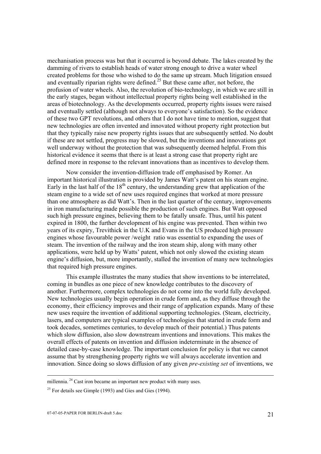mechanisation process was but that it occurred is beyond debate. The lakes created by the damming of rivers to establish heads of water strong enough to drive a water wheel created problems for those who wished to do the same up stream. Much litigation ensued and eventually riparian rights were defined.<sup>25</sup> But these came after, not before, the profusion of water wheels. Also, the revolution of bio-technology, in which we are still in the early stages, began without intellectual property rights being well established in the areas of biotechnology. As the developments occurred, property rights issues were raised and eventually settled (although not always to everyone's satisfaction). So the evidence of these two GPT revolutions, and others that I do not have time to mention, suggest that new technologies are often invented and innovated without property right protection but that they typically raise new property rights issues that are subsequently settled. No doubt if these are not settled, progress may be slowed, but the inventions and innovations got well underway without the protection that was subsequently deemed helpful. From this historical evidence it seems that there is at least a strong case that property right are defined more in response to the relevant innovations than as incentives to develop them.

 Now consider the invention-diffusion trade off emphasised by Romer. An important historical illustration is provided by James Watt's patent on his steam engine. Early in the last half of the  $18<sup>th</sup>$  century, the understanding grew that application of the steam engine to a wide set of new uses required engines that worked at more pressure than one atmosphere as did Watt's. Then in the last quarter of the century, improvements in iron manufacturing made possible the production of such engines. But Watt opposed such high pressure engines, believing them to be fatally unsafe. Thus, until his patent expired in 1800, the further development of his engine was prevented. Then within two years of its expiry, Trevithick in the U.K and Evans in the US produced high pressure engines whose favourable power /weight ratio was essential to expanding the uses of steam. The invention of the railway and the iron steam ship, along with many other applications, were held up by Watts' patent, which not only slowed the existing steam engine's diffusion, but, more importantly, stalled the invention of many new technologies that required high pressure engines.

 This example illustrates the many studies that show inventions to be interrelated, coming in bundles as one piece of new knowledge contributes to the discovery of another. Furthermore, complex technologies do not come into the world fully developed. New technologies usually begin operation in crude form and, as they diffuse through the economy, their efficiency improves and their range of application expands. Many of these new uses require the invention of additional supporting technologies. (Steam, electricity, lasers, and computers are typical examples of technologies that started in crude form and took decades, sometimes centuries, to develop much of their potential.) Thus patents which slow diffusion, also slow downstream inventions and innovations. This makes the overall effects of patents on invention and diffusion indeterminate in the absence of detailed case-by-case knowledge. The important conclusion for policy is that we cannot assume that by strengthening property rights we will always accelerate invention and innovation. Since doing so slows diffusion of any given *pre-existing set* of inventions, we

millennia.<sup>24</sup> Cast iron became an important new product with many uses.

 $25$  For details see Gimple (1993) and Gies and Gies (1994).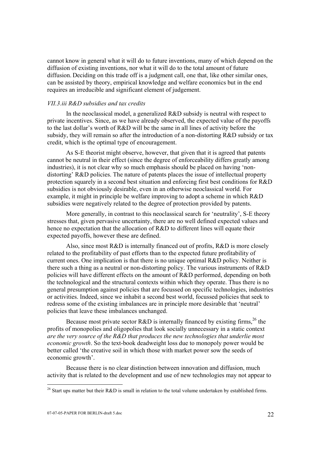cannot know in general what it will do to future inventions, many of which depend on the diffusion of existing inventions, nor what it will do to the total amount of future diffusion. Deciding on this trade off is a judgment call, one that, like other similar ones, can be assisted by theory, empirical knowledge and welfare economics but in the end requires an irreducible and significant element of judgement.

#### *VII.3.iii R&D subsidies and tax credits*

 In the neoclassical model, a generalized R&D subsidy is neutral with respect to private incentives. Since, as we have already observed, the expected value of the payoffs to the last dollar's worth of R&D will be the same in all lines of activity before the subsidy, they will remain so after the introduction of a non-distorting R&D subsidy or tax credit, which is the optimal type of encouragement.

 As S-E theorist might observe, however, that given that it is agreed that patents cannot be neutral in their effect (since the degree of enforceability differs greatly among industries), it is not clear why so much emphasis should be placed on having 'nondistorting' R&D policies. The nature of patents places the issue of intellectual property protection squarely in a second best situation and enforcing first best conditions for R&D subsidies is not obviously desirable, even in an otherwise neoclassical world. For example, it might in principle be welfare improving to adopt a scheme in which R&D subsidies were negatively related to the degree of protection provided by patents.

 More generally, in contrast to this neoclassical search for 'neutrality', S-E theory stresses that, given pervasive uncertainty, there are no well defined expected values and hence no expectation that the allocation of R&D to different lines will equate their expected payoffs, however these are defined.

 Also, since most R&D is internally financed out of profits, R&D is more closely related to the profitability of past efforts than to the expected future profitability of current ones. One implication is that there is no unique optimal R&D policy. Neither is there such a thing as a neutral or non-distorting policy. The various instruments of R&D policies will have different effects on the amount of R&D performed, depending on both the technological and the structural contexts within which they operate. Thus there is no general presumption against policies that are focussed on specific technologies, industries or activities. Indeed, since we inhabit a second best world, focussed policies that seek to redress some of the existing imbalances are in principle more desirable that 'neutral' policies that leave these imbalances unchanged.

Because most private sector R&D is internally financed by existing firms,  $^{26}$  the profits of monopolies and oligopolies that look socially unnecessary in a static context *are the very source of the R&D that produces the new technologies that underlie most economic growth*. So the text-book deadweight loss due to monopoly power would be better called 'the creative soil in which those with market power sow the seeds of economic growth'.

 Because there is no clear distinction between innovation and diffusion, much activity that is related to the development and use of new technologies may not appear to

<sup>&</sup>lt;sup>26</sup> Start ups matter but their R&D is small in relation to the total volume undertaken by established firms.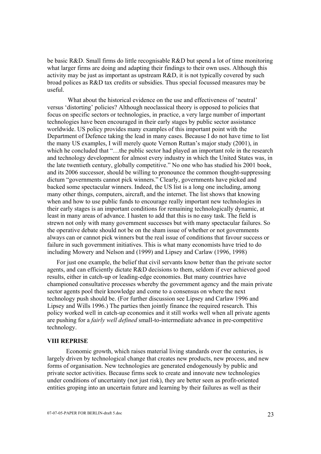be basic R&D. Small firms do little recognisable R&D but spend a lot of time monitoring what larger firms are doing and adapting their findings to their own uses. Although this activity may be just as important as upstream R&D, it is not typically covered by such broad polices as R&D tax credits or subsidies. Thus special focussed measures may be useful.

 What about the historical evidence on the use and effectiveness of 'neutral' versus 'distorting' policies? Although neoclassical theory is opposed to policies that focus on specific sectors or technologies, in practice, a very large number of important technologies have been encouraged in their early stages by public sector assistance worldwide. US policy provides many examples of this important point with the Department of Defence taking the lead in many cases. Because I do not have time to list the many US examples, I will merely quote Vernon Ruttan's major study (2001), in which he concluded that "...the public sector had played an important role in the research and technology development for almost every industry in which the United States was, in the late twentieth century, globally competitive." No one who has studied his 2001 book, and its 2006 successor, should be willing to pronounce the common thought-suppressing dictum "governments cannot pick winners." Clearly, governments have picked and backed some spectacular winners. Indeed, the US list is a long one including, among many other things, computers, aircraft, and the internet. The list shows that knowing when and how to use public funds to encourage really important new technologies in their early stages is an important conditions for remaining technologically dynamic, at least in many areas of advance. I hasten to add that this is no easy task. The field is strewn not only with many government successes but with many spectacular failures. So the operative debate should not be on the sham issue of whether or not governments always can or cannot pick winners but the real issue of conditions that favour success or failure in such government initiatives. This is what many economists have tried to do including Mowery and Nelson and (1999) and Lipsey and Carlaw (1996, 1998)

For just one example, the belief that civil servants know better than the private sector agents, and can efficiently dictate R&D decisions to them, seldom if ever achieved good results, either in catch-up or leading-edge economies. But many countries have championed consultative processes whereby the government agency and the main private sector agents pool their knowledge and come to a consensus on where the next technology push should be. (For further discussion see Lipsey and Carlaw 1996 and Lipsey and Wills 1996.) The parties then jointly finance the required research. This policy worked well in catch-up economies and it still works well when all private agents are pushing for a *fairly well defined* small-to-intermediate advance in pre-competitive technology.

#### **VIII REPRISE**

 Economic growth, which raises material living standards over the centuries, is largely driven by technological change that creates new products, new process, and new forms of organisation. New technologies are generated endogenously by public and private sector activities. Because firms seek to create and innovate new technologies under conditions of uncertainty (not just risk), they are better seen as profit-oriented entities groping into an uncertain future and learning by their failures as well as their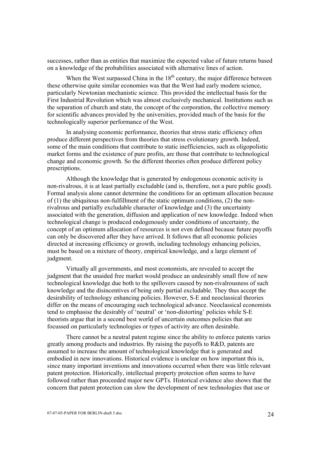successes, rather than as entities that maximize the expected value of future returns based on a knowledge of the probabilities associated with alternative lines of action.

When the West surpassed China in the  $18<sup>th</sup>$  century, the major difference between these otherwise quite similar economies was that the West had early modern science, particularly Newtonian mechanistic science. This provided the intellectual basis for the First Industrial Revolution which was almost exclusively mechanical. Institutions such as the separation of church and state, the concept of the corporation, the collective memory for scientific advances provided by the universities, provided much of the basis for the technologically superior performance of the West.

 In analysing economic performance, theories that stress static efficiency often produce different perspectives from theories that stress evolutionary growth. Indeed, some of the main conditions that contribute to static inefficiencies, such as oligopolistic market forms and the existence of pure profits, are those that contribute to technological change and economic growth. So the different theories often produce different policy prescriptions.

 Although the knowledge that is generated by endogenous economic activity is non-rivalrous, it is at least partially excludable (and is, therefore, not a pure public good). Formal analysis alone cannot determine the conditions for an optimum allocation because of  $(1)$  the ubiquitous non-fulfillment of the static optimum conditions,  $(2)$  the nonrivalrous and partially excludable character of knowledge and (3) the uncertainty associated with the generation, diffusion and application of new knowledge. Indeed when technological change is produced endogenously under conditions of uncertainty, the concept of an optimum allocation of resources is not even defined because future payoffs can only be discovered after they have arrived. It follows that all economic policies directed at increasing efficiency or growth, including technology enhancing policies, must be based on a mixture of theory, empirical knowledge, and a large element of judgment.

 Virtually all governments, and most economists, are revealed to accept the judgment that the unaided free market would produce an undesirably small flow of new technological knowledge due both to the spillovers caused by non-rivalrousness of such knowledge and the disincentives of being only partial excludable. They thus accept the desirability of technology enhancing policies. However, S-E and neoclassical theories differ on the means of encouraging such technological advance. Neoclassical economists tend to emphasise the desirably of 'neutral' or 'non-distorting' policies while S-E theorists argue that in a second best world of uncertain outcomes policies that are focussed on particularly technologies or types of activity are often desirable.

 There cannot be a neutral patent regime since the ability to enforce patents varies greatly among products and industries. By raising the payoffs to R&D, patents are assumed to increase the amount of technological knowledge that is generated and embodied in new innovations. Historical evidence is unclear on how important this is, since many important inventions and innovations occurred when there was little relevant patent protection. Historically, intellectual property protection often seems to have followed rather than proceeded major new GPTs. Historical evidence also shows that the concern that patent protection can slow the development of new technologies that use or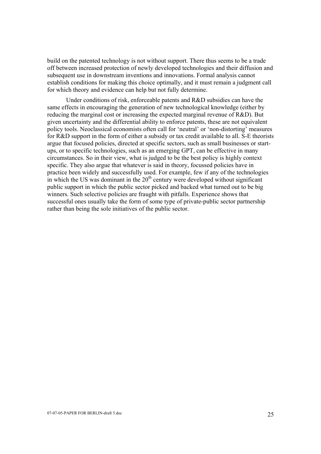build on the patented technology is not without support. There thus seems to be a trade off between increased protection of newly developed technologies and their diffusion and subsequent use in downstream inventions and innovations. Formal analysis cannot establish conditions for making this choice optimally, and it must remain a judgment call for which theory and evidence can help but not fully determine.

 Under conditions of risk, enforceable patents and R&D subsidies can have the same effects in encouraging the generation of new technological knowledge (either by reducing the marginal cost or increasing the expected marginal revenue of R&D). But given uncertainty and the differential ability to enforce patents, these are not equivalent policy tools. Neoclassical economists often call for 'neutral' or 'non-distorting' measures for R&D support in the form of either a subsidy or tax credit available to all. S-E theorists argue that focused policies, directed at specific sectors, such as small businesses or startups, or to specific technologies, such as an emerging GPT, can be effective in many circumstances. So in their view, what is judged to be the best policy is highly context specific. They also argue that whatever is said in theory, focussed policies have in practice been widely and successfully used. For example, few if any of the technologies in which the US was dominant in the  $20<sup>th</sup>$  century were developed without significant public support in which the public sector picked and backed what turned out to be big winners. Such selective policies are fraught with pitfalls. Experience shows that successful ones usually take the form of some type of private-public sector partnership rather than being the sole initiatives of the public sector.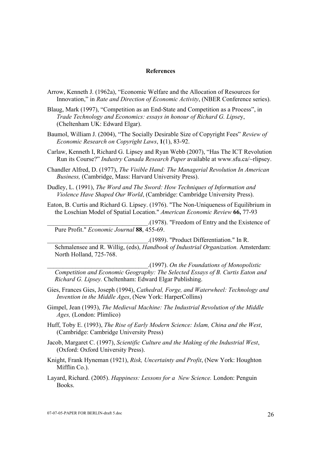#### **References**

- Arrow, Kenneth J. (1962a), "Economic Welfare and the Allocation of Resources for Innovation," in *Rate and Direction of Economic Activity*, (NBER Conference series).
- Blaug, Mark (1997), "Competition as an End-State and Competition as a Process", in *Trade Technology and Economics: essays in honour of Richard G. Lipse*y, (Cheltenham UK: Edward Elgar).
- Baumol, William J. (2004), "The Socially Desirable Size of Copyright Fees" *Review of Economic Research on Copyright Laws*, **1**(1), 83-92.
- Carlaw, Kenneth I, Richard G. Lipsey and Ryan Webb (2007), "Has The ICT Revolution Run its Course?" *Industry Canada Research Paper* available at www.sfu.ca/~rlipsey.
- Chandler Alfred, D. (1977), *The Visible Hand: The Managerial Revolution In American Business,* (Cambridge, Mass: Harvard University Press).
- Dudley, L. (1991), *The Word and The Sword: How Techniques of Information and Violence Have Shaped Our World*, (Cambridge: Cambridge University Press).
- Eaton, B. Curtis and Richard G. Lipsey. (1976). "The Non-Uniqueness of Equilibrium in the Loschian Model of Spatial Location." *American Economic Review* **66,** 77-93

\_\_\_\_\_\_\_\_\_\_\_\_\_\_\_\_\_\_\_\_\_\_\_\_\_\_\_\_\_\_\_\_.(1978). "Freedom of Entry and the Existence of Pure Profit." *Economic Journal* **88**, 455-69.

\_\_\_\_\_\_\_\_\_\_\_\_\_\_\_\_\_\_\_\_\_\_\_\_\_\_\_\_\_\_\_\_.(1989). "Product Differentiation." In R. Schmalensee and R. Willig, (eds), *Handbook of Industrial Organization.* Amsterdam: North Holland, 725-768.

\_\_\_\_\_\_\_\_\_\_\_\_\_\_\_\_\_\_\_\_\_\_\_\_\_\_\_\_\_\_\_\_.(1997). *On the Foundations of Monopolistic Competition and Economic Geography: The Selected Essays of B. Curtis Eaton and Richard G. Lipsey.* Cheltenham: Edward Elgar Publishing.

- Gies, Frances Gies, Joseph (1994), *Cathedral, Forge, and Waterwheel: Technology and Invention in the Middle Ages*, (New York: HarperCollins)
- Gimpel, Jean (1993), *The Medieval Machine: The Industrial Revolution of the Middle Ages,* (London: Plimlico)
- Huff, Toby E. (1993), *The Rise of Early Modern Science: Islam, China and the West*, (Cambridge: Cambridge University Press)
- Jacob, Margaret C. (1997), *Scientific Culture and the Making of the Industrial West*, (Oxford: Oxford University Press).
- Knight, Frank Hyneman (1921), *Risk, Uncertainty and Profit*, (New York: Houghton Mifflin Co.).
- Layard, Richard. (2005). *Happiness: Lessons for a New Science.* London: Penguin Books.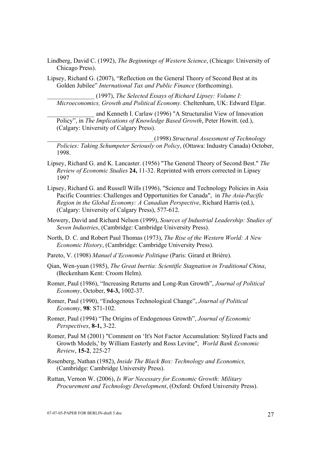- Lindberg, David C. (1992), *The Beginnings of Western Science*, (Chicago: University of Chicago Press).
- Lipsey, Richard G. (2007), "Reflection on the General Theory of Second Best at its Golden Jubilee" *International Tax and Public Finance* (forthcoming).

\_\_\_\_\_\_\_\_\_\_\_\_\_\_\_ (1997), *The Selected Essays of Richard Lipsey: Volume I: Microeconomics, Growth and Political Economy.* Cheltenham, UK: Edward Elgar.

and Kenneth I. Carlaw (1996) "A Structuralist View of Innovation Policy", in *The Implications of Knowledge Based Growth*, Peter Howitt. (ed.), (Calgary: University of Calgary Press).

\_\_\_\_\_\_\_\_\_\_\_\_\_\_\_\_\_\_\_\_\_\_\_\_\_\_\_\_\_\_\_\_\_\_(1998) *Structural Assessment of Technology Policies: Taking Schumpeter Seriously on Policy*, (Ottawa: Industry Canada) October, 1998.

- Lipsey, Richard G. and K. Lancaster. (1956) "The General Theory of Second Best." *The Review of Economic Studies* **24,** 11-32. Reprinted with errors corrected in Lipsey 1997
- Lipsey, Richard G. and Russell Wills (1996), "Science and Technology Policies in Asia Pacific Countries: Challenges and Opportunities for Canada", in *The Asia-Pacific Region in the Global Economy: A Canadian Perspective*, Richard Harris (ed.), (Calgary: University of Calgary Press), 577-612.
- Mowery, David and Richard Nelson (1999), *Sources of Industrial Leadership: Studies of Seven Industries*, (Cambridge: Cambridge University Press).
- North, D. C. and Robert Paul Thomas (1973), *The Rise of the Western World: A New Economic History*, (Cambridge: Cambridge University Press).
- Pareto, V. (1908) *Manuel d'Economie Politique* (Paris: Girard et Brière).
- Qian, Wen-yuan (1985), *The Great Inertia: Scientific Stagnation in Traditional China*, (Beckenham Kent: Croom Helm).
- Romer, Paul (1986), "Increasing Returns and Long-Run Growth", *Journal of Political Economy*, October, **94-3,** 1002-37.
- Romer, Paul (1990), "Endogenous Technological Change", *Journal of Political Economy*, **98**: S71-102.
- Romer, Paul (1994) "The Origins of Endogenous Growth", *Journal of Economic Perspectives*, **8-1,** 3-22.
- Romer, Paul M (2001) "Comment on 'It's Not Factor Accumulation: Stylized Facts and Growth Models,' by William Easterly and Ross Levine", *World Bank Economic Review*, **15-2**, 225-27
- Rosenberg, Nathan (1982), *Inside The Black Box: Technology and Economics,* (Cambridge: Cambridge University Press).
- Ruttan, Vernon W. (2006), *Is War Necessary for Economic Growth: Military Procurement and Technology Development*, (Oxford: Oxford University Press).